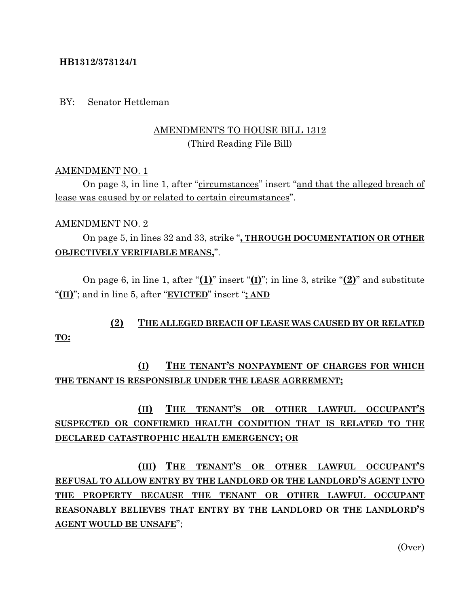### **HB1312/373124/1**

### BY: Senator Hettleman

### AMENDMENTS TO HOUSE BILL 1312 (Third Reading File Bill)

### AMENDMENT NO. 1

On page 3, in line 1, after "circumstances" insert "and that the alleged breach of lease was caused by or related to certain circumstances".

### AMENDMENT NO. 2

On page 5, in lines 32 and 33, strike "**, THROUGH DOCUMENTATION OR OTHER OBJECTIVELY VERIFIABLE MEANS,**".

On page 6, in line 1, after "**(1)**" insert "**(I)**"; in line 3, strike "**(2)**" and substitute "**(II)**"; and in line 5, after "**EVICTED**" insert "**; AND**

# **(2) THE ALLEGED BREACH OF LEASE WAS CAUSED BY OR RELATED**

### **TO:**

## **(I) THE TENANT'S NONPAYMENT OF CHARGES FOR WHICH THE TENANT IS RESPONSIBLE UNDER THE LEASE AGREEMENT;**

# **(II) THE TENANT'S OR OTHER LAWFUL OCCUPANT'S SUSPECTED OR CONFIRMED HEALTH CONDITION THAT IS RELATED TO THE DECLARED CATASTROPHIC HEALTH EMERGENCY; OR**

**(III) THE TENANT'S OR OTHER LAWFUL OCCUPANT'S REFUSAL TO ALLOW ENTRY BY THE LANDLORD OR THE LANDLORD'S AGENT INTO THE PROPERTY BECAUSE THE TENANT OR OTHER LAWFUL OCCUPANT REASONABLY BELIEVES THAT ENTRY BY THE LANDLORD OR THE LANDLORD'S AGENT WOULD BE UNSAFE**";

(Over)